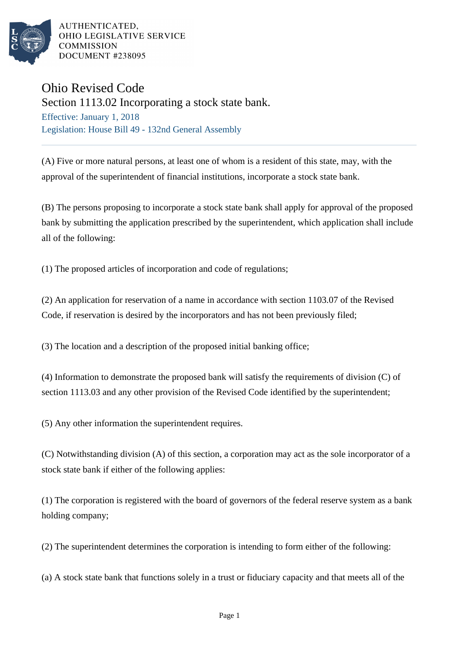

AUTHENTICATED. OHIO LEGISLATIVE SERVICE **COMMISSION** DOCUMENT #238095

## Ohio Revised Code

Section 1113.02 Incorporating a stock state bank.

Effective: January 1, 2018 Legislation: House Bill 49 - 132nd General Assembly

(A) Five or more natural persons, at least one of whom is a resident of this state, may, with the approval of the superintendent of financial institutions, incorporate a stock state bank.

(B) The persons proposing to incorporate a stock state bank shall apply for approval of the proposed bank by submitting the application prescribed by the superintendent, which application shall include all of the following:

(1) The proposed articles of incorporation and code of regulations;

(2) An application for reservation of a name in accordance with section 1103.07 of the Revised Code, if reservation is desired by the incorporators and has not been previously filed;

(3) The location and a description of the proposed initial banking office;

(4) Information to demonstrate the proposed bank will satisfy the requirements of division (C) of section 1113.03 and any other provision of the Revised Code identified by the superintendent;

(5) Any other information the superintendent requires.

(C) Notwithstanding division (A) of this section, a corporation may act as the sole incorporator of a stock state bank if either of the following applies:

(1) The corporation is registered with the board of governors of the federal reserve system as a bank holding company;

(2) The superintendent determines the corporation is intending to form either of the following:

(a) A stock state bank that functions solely in a trust or fiduciary capacity and that meets all of the